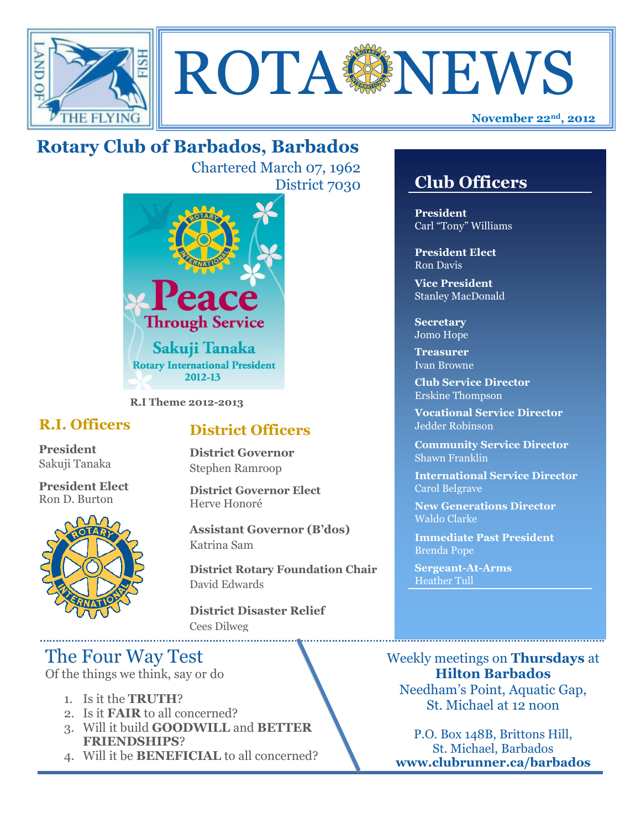



# **Rotary Club of Barbados, Barbados**

Chartered March 07, 1962 District 7030



**R.I Theme 2012-2013**

## **R.I. Officers**

**President**  Sakuji Tanaka

**President Elect** Ron D. Burton



## **District Officers**

**District Governor** Stephen Ramroop

**District Governor Elect** Herve Honoré

**Assistant Governor (B'dos)** Katrina Sam

**District Rotary Foundation Chair** David Edwards

**District Disaster Relief** Cees Dilweg

## The Four Way Test

Of the things we think, say or do

- 1. Is it the **TRUTH**?
- 2. Is it **FAIR** to all concerned?
- 3. Will it build **GOODWILL** and **BETTER FRIENDSHIPS**?
- 4. Will it be **BENEFICIAL** to all concerned?

## **Club Officers**

**Club Officers** 

**President** Carl "Tony" Williams

**President Elect** Ron Davis

**Vice President** Stanley MacDonald

**Secretary** Jomo Hope

**Treasurer** Ivan Browne

**Club Service Director** Erskine Thompson

**Vocational Service Director** Jedder Robinson

**Community Service Director** Shawn Franklin

**International Service Director** Carol Belgrave

**New Generations Director** Waldo Clarke

**Immediate Past President** Brenda Pope

**Sergeant-At-Arms** Heather Tull

Weekly meetings on **Thursdays** at **Hilton Barbados** Needham's Point, Aquatic Gap, St. Michael at 12 noon

P.O. Box 148B, Brittons Hill, St. Michael, Barbados **www.clubrunner.ca/barbados**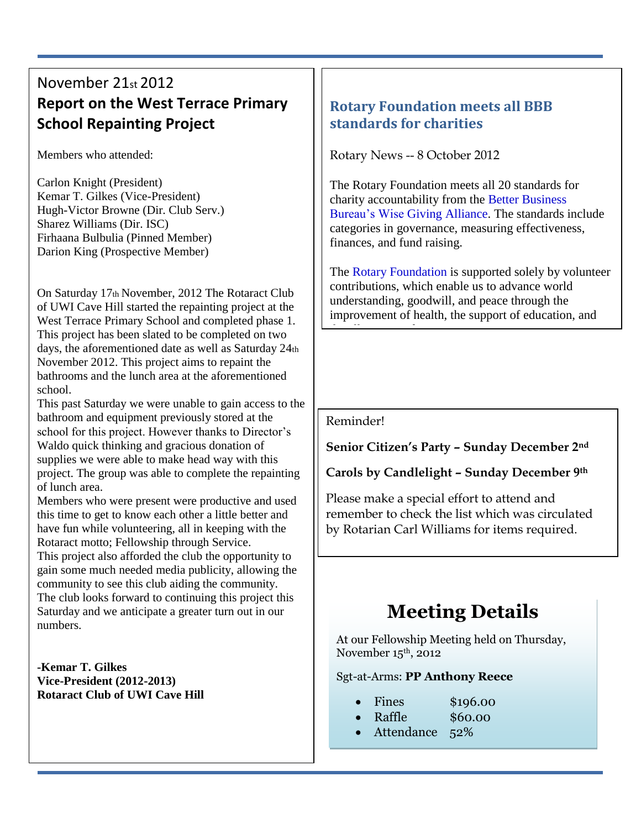## November 21st 2012 **Report on the West Terrace Primary School Repainting Project**

Members who attended:

Carlon Knight (President) Kemar T. Gilkes (Vice-President) Hugh-Victor Browne (Dir. Club Serv.) Sharez Williams (Dir. ISC) Firhaana Bulbulia (Pinned Member) Darion King (Prospective Member)

On Saturday 17th November, 2012 The Rotaract Club of UWI Cave Hill started the repainting project at the West Terrace Primary School and completed phase 1. This project has been slated to be completed on two days, the aforementioned date as well as Saturday 24th November 2012. This project aims to repaint the bathrooms and the lunch area at the aforementioned school.

This past Saturday we were unable to gain access to the bathroom and equipment previously stored at the school for this project. However thanks to Director's Waldo quick thinking and gracious donation of supplies we were able to make head way with this project. The group was able to complete the repainting of lunch area.

Members who were present were productive and used this time to get to know each other a little better and have fun while volunteering, all in keeping with the Rotaract motto; Fellowship through Service.

This project also afforded the club the opportunity to gain some much needed media publicity, allowing the community to see this club aiding the community. The club looks forward to continuing this project this Saturday and we anticipate a greater turn out in our numbers.

**-Kemar T. Gilkes Vice-President (2012-2013) Rotaract Club of UWI Cave Hill**

### **Rotary Foundation meets all BBB standards for charities**

Rotary News -- 8 October 2012

the alleviation of powerful the alleviation of powerful the powerful theory  $\mathcal{L}_\mathbf{p}$ 

The Rotary Foundation meets all 20 standards for charity accountability from the [Better Business](http://www.bbb.org/charity-reviews/national/education-and-literacy/rotary-foundation-of-rotary-international-in-evanston-il-3656)  [Bureau's Wise Giving Alliance.](http://www.bbb.org/charity-reviews/national/education-and-literacy/rotary-foundation-of-rotary-international-in-evanston-il-3656) The standards include categories in governance, measuring effectiveness, finances, and fund raising.

The [Rotary Foundation](http://www.rotary.org/EN/CONTRIBUTE/Pages/ridefault.aspx) is supported solely by volunteer contributions, which enable us to advance world understanding, goodwill, and peace through the improvement of health, the support of education, and

Reminder!

**Senior Citizen's Party – Sunday December 2nd**

**Carols by Candlelight – Sunday December 9th**

Please make a special effort to attend and remember to check the list which was circulated by Rotarian Carl Williams for items required.

# **Meeting Details**

At our Fellowship Meeting held on Thursday, November  $15<sup>th</sup>$ , 2012

Sgt-at-Arms: **PP Anthony Reece**

- Fines \$196.00
- Raffle \$60.00
- Attendance 52%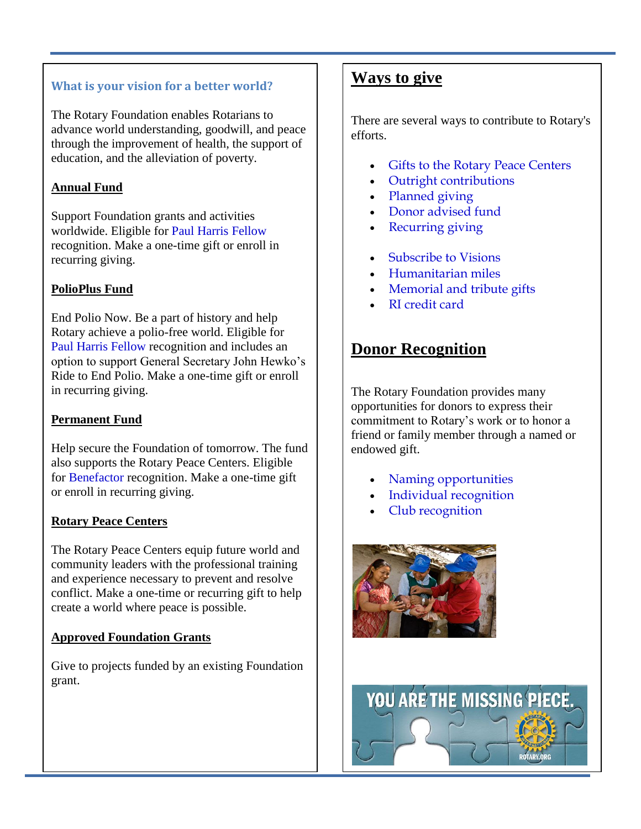#### **What is your vision for a better world?**

The Rotary Foundation enables Rotarians to advance world understanding, goodwill, and peace through the improvement of health, the support of education, and the alleviation of poverty.

#### **Annual Fund**

Support Foundation grants and activities worldwide. Eligible for [Paul Harris Fellow](http://www.rotary.org/en/Contribute/DonorRecognition/IndividualRecognition/Pages/PaulHarrisFellowRecognition.aspx)  recognition. Make a one-time gift or enroll in recurring giving.

#### **PolioPlus Fund**

End Polio Now. Be a part of history and help Rotary achieve a polio-free world. Eligible for [Paul Harris Fellow r](http://www.rotary.org/en/Contribute/DonorRecognition/IndividualRecognition/Pages/ridefault.aspx)ecognition and includes an option to support General Secretary John Hewko's Ride to End Polio. Make a one-time gift or enroll in recurring giving.

#### **Permanent Fund**

Help secure the Foundation of tomorrow. The fund also supports the Rotary Peace Centers. Eligible for [Benefactor r](http://www.rotary.org/en/Contribute/DonorRecognition/IndividualRecognition/Pages/ridefault.aspx)ecognition. Make a one-time gift or enroll in recurring giving.

#### **Rotary Peace Centers**

The Rotary Peace Centers equip future world and community leaders with the professional training and experience necessary to prevent and resolve conflict. Make a one-time or recurring gift to help create a world where peace is possible.

#### **Approved Foundation Grants**

Give to projects funded by an existing Foundation grant.

## **Ways to give**

There are several ways to contribute to Rotary's efforts.

- Gifts to the Rotary Peace Centers
- [Outright contributions](http://www.rotary.org/en/Contribute/WaysToGive/OutrightContributions/Pages/ridefault.aspx)
- Planned giving
- [Donor advised fund](http://www.rotary.org/en/contribute/waystogive/donoradvisedfund/Pages/ridefault.aspx)
- Recurring giving
- [Subscribe to Visions](http://www.rotary.org/en/Contribute/WaysToGive/SubscribeToVisions/Pages/ridefault.aspx)
- [Humanitarian miles](http://www.rotary.org/en/Contribute/WaysToGive/HumanitarianMiles/Pages/ridefault.aspx)
- [Memorial and tribute gifts](http://www.rotary.org/en/Contribute/WaysToGive/memorial_tribute_gifts/Pages/ridefault.aspx)
- [RI credit card](http://www.rotary.org/en/Contribute/WaysToGive/RICreditCard/Pages/ridefault.aspx)

## **Donor Recognition**

The Rotary Foundation provides many opportunities for donors to express their commitment to Rotary's work or to honor a friend or family member through a named or endowed gift.

YOU ARE THE MISSING PIECE.

ROTARY.ORG

- [Naming opportunities](http://www.rotary.org/en/Contribute/DonorRecognition/NamingOpportunities/Pages/ridefault.aspx)
- [Individual recognition](http://www.rotary.org/en/Contribute/DonorRecognition/IndividualRecognition/Pages/ridefault.aspx)
- [Club recognition](http://www.rotary.org/en/Contribute/DonorRecognition/ClubRecognition/Pages/ridefault.aspx)